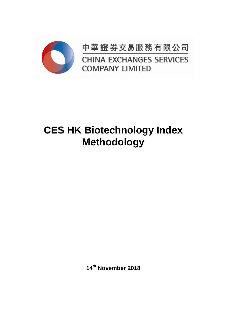

中華證券交易服務有限公司 **CHINA EXCHANGES SERVICES COMPANY LIMITED** 

# **CES HK Biotechnology Index Methodology**

**14th November 2018**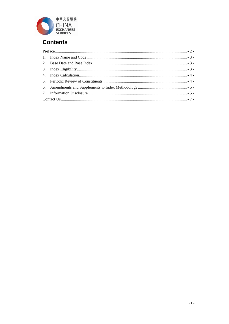

## **Contents**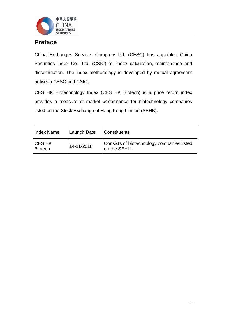

## <span id="page-2-0"></span>**Preface**

China Exchanges Services Company Ltd. (CESC) has appointed China Securities Index Co., Ltd. (CSIC) for index calculation, maintenance and dissemination. The index methodology is developed by mutual agreement between CESC and CSIC.

CES HK Biotechnology Index (CES HK Biotech) is a price return index provides a measure of market performance for biotechnology companies listed on the Stock Exchange of Hong Kong Limited (SEHK).

| Index Name         | Launch Date | <i>Constituents</i>                                        |
|--------------------|-------------|------------------------------------------------------------|
| ICES HK<br>Biotech | 14-11-2018  | Consists of biotechnology companies listed<br>on the SEHK. |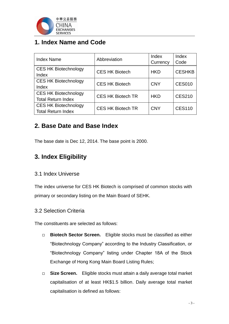

## <span id="page-3-0"></span>**1. Index Name and Code**

| <b>Index Name</b>           | Abbreviation             | Index      | Index         |
|-----------------------------|--------------------------|------------|---------------|
|                             |                          | Currency   | Code          |
| <b>CES HK Biotechnology</b> | <b>CES HK Biotech</b>    | <b>HKD</b> | <b>CESHKB</b> |
| Index                       |                          |            |               |
| <b>CES HK Biotechnology</b> | <b>CES HK Biotech</b>    | <b>CNY</b> | <b>CES010</b> |
| Index                       |                          |            |               |
| <b>CES HK Biotechnology</b> | <b>CES HK Biotech TR</b> | <b>HKD</b> | <b>CES210</b> |
| <b>Total Return Index</b>   |                          |            |               |
| <b>CES HK Biotechnology</b> | <b>CES HK Biotech TR</b> | <b>CNY</b> | <b>CES110</b> |
| <b>Total Return Index</b>   |                          |            |               |

## <span id="page-3-1"></span>**2. Base Date and Base Index**

The base date is Dec 12, 2014. The base point is 2000.

## <span id="page-3-2"></span>**3. Index Eligibility**

#### 3.1 Index Universe

The index universe for CES HK Biotech is comprised of common stocks with primary or secondary listing on the Main Board of SEHK.

#### 3.2 Selection Criteria

The constituents are selected as follows:

- **Biotech Sector Screen.** Eligible stocks must be classified as either "Biotechnology Company" according to the Industry Classification, or "Biotechnology Company" listing under Chapter 18A of the Stock Exchange of Hong Kong Main Board Listing Rules;
- □ Size Screen. Eligible stocks must attain a daily average total market capitalisation of at least HK\$1.5 billion. Daily average total market capitalisation is defined as follows: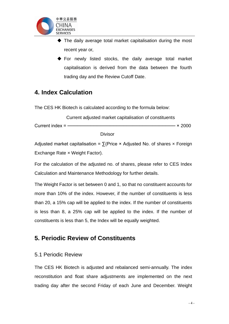

- The daily average total market capitalisation during the most recent year or,
- For newly listed stocks, the daily average total market capitalisation is derived from the data between the fourth trading day and the Review Cutoff Date.

## <span id="page-4-0"></span>**4. Index Calculation**

The CES HK Biotech is calculated according to the formula below:

 Current adjusted market capitalisation of constituents Current index = ───────────────────────────────── × 2000

Divisor

Adjusted market capitalisation =  $\sum$ (Price × Adjusted No. of shares x Foreign Exchange Rate × Weight Factor).

For the calculation of the adjusted no. of shares, please refer to CES Index Calculation and Maintenance Methodology for further details.

The Weight Factor is set between 0 and 1, so that no constituent accounts for more than 10% of the index. However, if the number of constituents is less than 20, a 15% cap will be applied to the index. If the number of constituents is less than 8, a 25% cap will be applied to the index. If the number of constituents is less than 5, the Index will be equally weighted.

## <span id="page-4-1"></span>**5. Periodic Review of Constituents**

#### 5.1 Periodic Review

The CES HK Biotech is adjusted and rebalanced semi-annually. The index reconstitution and float share adjustments are implemented on the next trading day after the second Friday of each June and December. Weight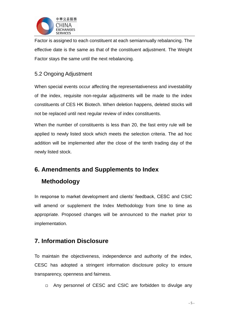

Factor is assigned to each constituent at each semiannually rebalancing. The effective date is the same as that of the constituent adjustment. The Weight Factor stays the same until the next rebalancing.

#### 5.2 Ongoing Adjustment

When special events occur affecting the representativeness and investability of the index, requisite non-regular adjustments will be made to the index constituents of CES HK Biotech. When deletion happens, deleted stocks will not be replaced until next regular review of index constituents.

When the number of constituents is less than 20, the fast entry rule will be applied to newly listed stock which meets the selection criteria. The ad hoc addition will be implemented after the close of the tenth trading day of the newly listed stock.

## <span id="page-5-0"></span>**6. Amendments and Supplements to Index**

## **Methodology**

In response to market development and clients' feedback, CESC and CSIC will amend or supplement the Index Methodology from time to time as appropriate. Proposed changes will be announced to the market prior to implementation.

## <span id="page-5-1"></span>**7. Information Disclosure**

To maintain the objectiveness, independence and authority of the index, CESC has adopted a stringent information disclosure policy to ensure transparency, openness and fairness.

□ Any personnel of CESC and CSIC are forbidden to divulge any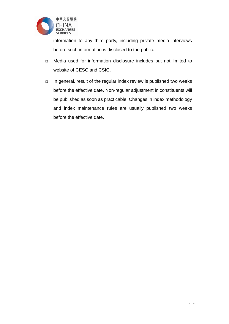

information to any third party, including private media interviews before such information is disclosed to the public.

- Media used for information disclosure includes but not limited to website of CESC and CSIC.
- $\Box$  In general, result of the regular index review is published two weeks before the effective date. Non-regular adjustment in constituents will be published as soon as practicable. Changes in index methodology and index maintenance rules are usually published two weeks before the effective date.